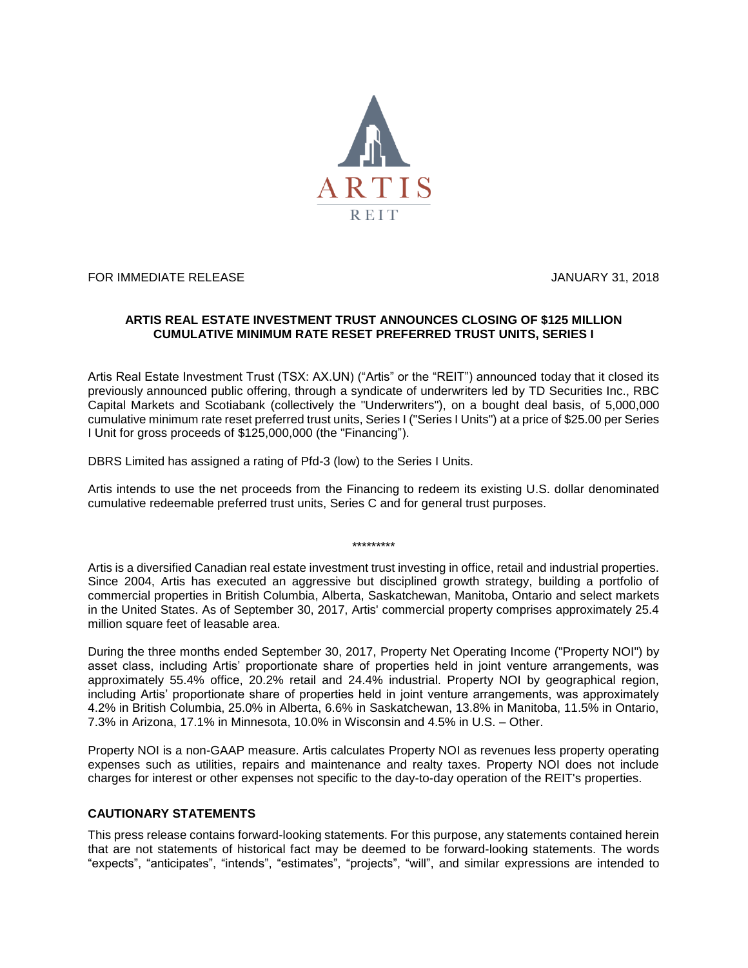

FOR IMMEDIATE RELEASE JANUARY 31, 2018

## **ARTIS REAL ESTATE INVESTMENT TRUST ANNOUNCES CLOSING OF \$125 MILLION CUMULATIVE MINIMUM RATE RESET PREFERRED TRUST UNITS, SERIES I**

Artis Real Estate Investment Trust (TSX: AX.UN) ("Artis" or the "REIT") announced today that it closed its previously announced public offering, through a syndicate of underwriters led by TD Securities Inc., RBC Capital Markets and Scotiabank (collectively the "Underwriters"), on a bought deal basis, of 5,000,000 cumulative minimum rate reset preferred trust units, Series I ("Series I Units") at a price of \$25.00 per Series I Unit for gross proceeds of \$125,000,000 (the "Financing").

DBRS Limited has assigned a rating of Pfd-3 (low) to the Series I Units.

Artis intends to use the net proceeds from the Financing to redeem its existing U.S. dollar denominated cumulative redeemable preferred trust units, Series C and for general trust purposes.

\*\*\*\*\*\*\*\*\*

Artis is a diversified Canadian real estate investment trust investing in office, retail and industrial properties. Since 2004, Artis has executed an aggressive but disciplined growth strategy, building a portfolio of commercial properties in British Columbia, Alberta, Saskatchewan, Manitoba, Ontario and select markets in the United States. As of September 30, 2017, Artis' commercial property comprises approximately 25.4 million square feet of leasable area.

During the three months ended September 30, 2017, Property Net Operating Income ("Property NOI") by asset class, including Artis' proportionate share of properties held in joint venture arrangements, was approximately 55.4% office, 20.2% retail and 24.4% industrial. Property NOI by geographical region, including Artis' proportionate share of properties held in joint venture arrangements, was approximately 4.2% in British Columbia, 25.0% in Alberta, 6.6% in Saskatchewan, 13.8% in Manitoba, 11.5% in Ontario, 7.3% in Arizona, 17.1% in Minnesota, 10.0% in Wisconsin and 4.5% in U.S. – Other.

Property NOI is a non-GAAP measure. Artis calculates Property NOI as revenues less property operating expenses such as utilities, repairs and maintenance and realty taxes. Property NOI does not include charges for interest or other expenses not specific to the day-to-day operation of the REIT's properties.

## **CAUTIONARY STATEMENTS**

This press release contains forward-looking statements. For this purpose, any statements contained herein that are not statements of historical fact may be deemed to be forward-looking statements. The words "expects", "anticipates", "intends", "estimates", "projects", "will", and similar expressions are intended to